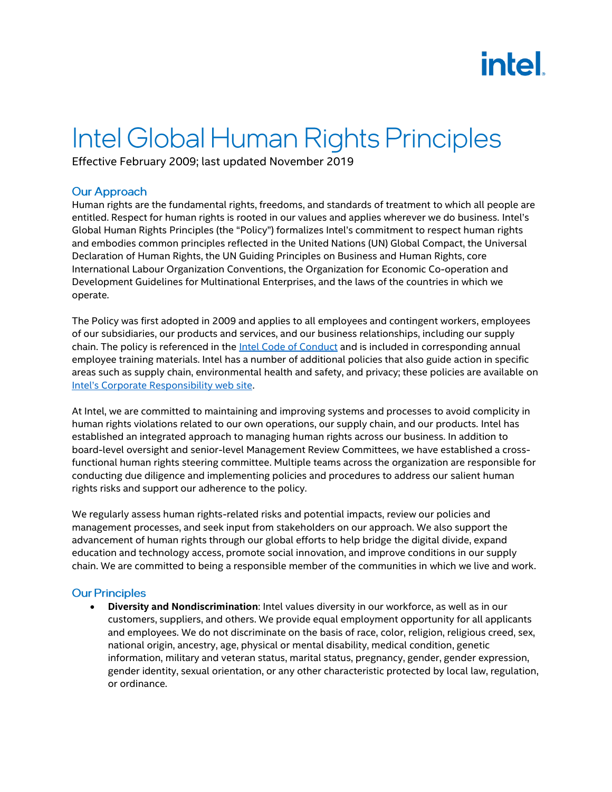# **intel**

## Intel Global Human Rights Principles

Effective February 2009; last updated November 2019

### **Our Approach**

Human rights are the fundamental rights, freedoms, and standards of treatment to which all people are entitled. Respect for human rights is rooted in our values and applies wherever we do business. Intel's Global Human Rights Principles (the "Policy") formalizes Intel's commitment to respect human rights and embodies common principles reflected in the United Nations (UN) Global Compact, the Universal Declaration of Human Rights, the UN Guiding Principles on Business and Human Rights, core International Labour Organization Conventions, the Organization for Economic Co-operation and Development Guidelines for Multinational Enterprises, and the laws of the countries in which we operate.

The Policy was first adopted in 2009 and applies to all employees and contingent workers, employees of our subsidiaries, our products and services, and our business relationships, including our supply chain. The policy is referenced in the **Intel Code of Conduct** and is included in corresponding annual employee training materials. Intel has a number of additional policies that also guide action in specific areas such as supply chain, environmental health and safety, and privacy; these policies are available on Intel's Corporate Responsibility web site.

At Intel, we are committed to maintaining and improving systems and processes to avoid complicity in human rights violations related to our own operations, our supply chain, and our products. Intel has established an integrated approach to managing human rights across our business. In addition to board-level oversight and senior-level Management Review Committees, we have established a crossfunctional human rights steering committee. Multiple teams across the organization are responsible for conducting due diligence and implementing policies and procedures to address our salient human rights risks and support our adherence to the policy.

We regularly assess human rights-related risks and potential impacts, review our policies and management processes, and seek input from stakeholders on our approach. We also support the advancement of human rights through our global efforts to help bridge the digital divide, expand education and technology access, promote social innovation, and improve conditions in our supply chain. We are committed to being a responsible member of the communities in which we live and work.

#### **Our Principles**

• **Diversity and Nondiscrimination**: Intel values diversity in our workforce, as well as in our customers, suppliers, and others. We provide equal employment opportunity for all applicants and employees. We do not discriminate on the basis of race, color, religion, religious creed, sex, national origin, ancestry, age, physical or mental disability, medical condition, genetic information, military and veteran status, marital status, pregnancy, gender, gender expression, gender identity, sexual orientation, or any other characteristic protected by local law, regulation, or ordinance.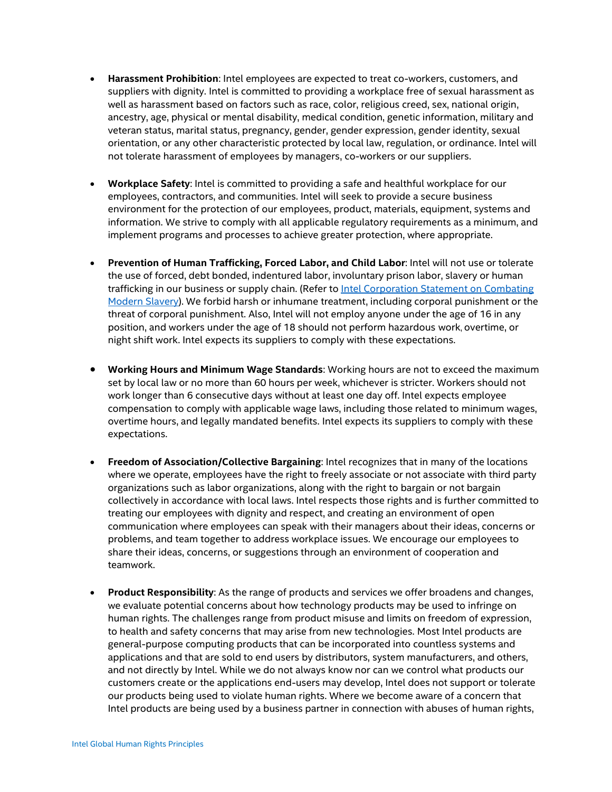- **Harassment Prohibition**: Intel employees are expected to treat co-workers, customers, and suppliers with dignity. Intel is committed to providing a workplace free of sexual harassment as well as harassment based on factors such as race, color, religious creed, sex, national origin, ancestry, age, physical or mental disability, medical condition, genetic information, military and veteran status, marital status, pregnancy, gender, gender expression, gender identity, sexual orientation, or any other characteristic protected by local law, regulation, or ordinance. Intel will not tolerate harassment of employees by managers, co-workers or our suppliers.
- **Workplace Safety**: Intel is committed to providing a safe and healthful workplace for our employees, contractors, and communities. Intel will seek to provide a secure business environment for the protection of our employees, product, materials, equipment, systems and information. We strive to comply with all applicable regulatory requirements as a minimum, and implement programs and processes to achieve greater protection, where appropriate.
- **Prevention of Human Trafficking, Forced Labor, and Child Labor**: Intel will not use or tolerate the use of forced, debt bonded, indentured labor, involuntary prison labor, slavery or human trafficking in our business or supply chain. (Refer to Intel Corporation Statement on Combating [Modern Slavery\)](https://www.intel.com/content/www/us/en/corporate-responsibility/statement-combating-modern-slavery.html). We forbid harsh or inhumane treatment, including corporal punishment or the threat of corporal punishment. Also, Intel will not employ anyone under the age of 16 in any position, and workers under the age of 18 should not perform hazardous work, overtime, or night shift work. Intel expects its suppliers to comply with these expectations.
- **Working Hours and Minimum Wage Standards**: Working hours are not to exceed the maximum set by local law or no more than 60 hours per week, whichever is stricter. Workers should not work longer than 6 consecutive days without at least one day off. Intel expects employee compensation to comply with applicable wage laws, including those related to minimum wages, overtime hours, and legally mandated benefits. Intel expects its suppliers to comply with these expectations.
- **Freedom of Association/Collective Bargaining**: Intel recognizes that in many of the locations where we operate, employees have the right to freely associate or not associate with third party organizations such as labor organizations, along with the right to bargain or not bargain collectively in accordance with local laws. Intel respects those rights and is further committed to treating our employees with dignity and respect, and creating an environment of open communication where employees can speak with their managers about their ideas, concerns or problems, and team together to address workplace issues. We encourage our employees to share their ideas, concerns, or suggestions through an environment of cooperation and teamwork.
- **Product Responsibility**: As the range of products and services we offer broadens and changes, we evaluate potential concerns about how technology products may be used to infringe on human rights. The challenges range from product misuse and limits on freedom of expression, to health and safety concerns that may arise from new technologies. Most Intel products are general-purpose computing products that can be incorporated into countless systems and applications and that are sold to end users by distributors, system manufacturers, and others, and not directly by Intel. While we do not always know nor can we control what products our customers create or the applications end-users may develop, Intel does not support or tolerate our products being used to violate human rights. Where we become aware of a concern that Intel products are being used by a business partner in connection with abuses of human rights,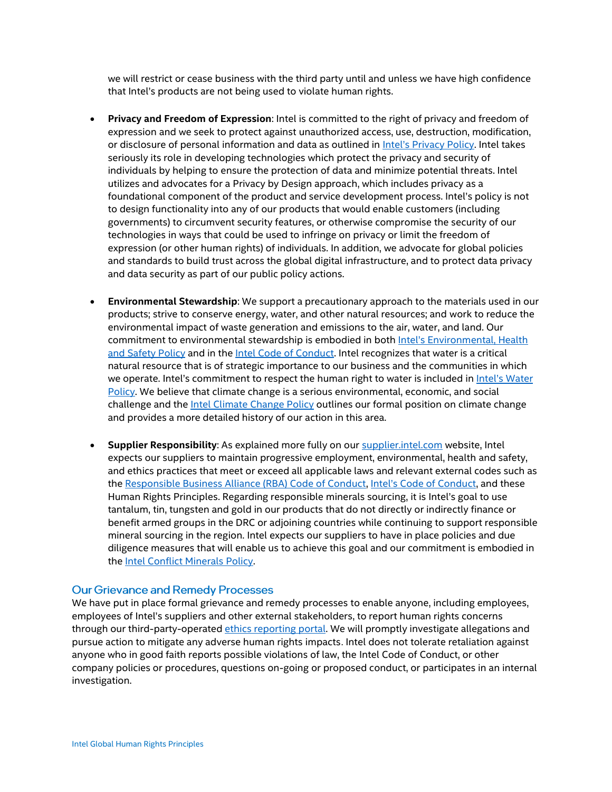we will restrict or cease business with the third party until and unless we have high confidence that Intel's products are not being used to violate human rights.

- **Privacy and Freedom of Expression**: Intel is committed to the right of privacy and freedom of expression and we seek to protect against unauthorized access, use, destruction, modification, or disclosure of personal information and data as outlined in Intel's [Privacy Policy.](https://www.intel.com/content/www/us/en/privacy/intel-privacy-notice.html) Intel takes seriously its role in developing technologies which protect the privacy and security of individuals by helping to ensure the protection of data and minimize potential threats. Intel utilizes and advocates for a Privacy by Design approach, which includes privacy as a foundational component of the product and service development process. Intel's policy is not to design functionality into any of our products that would enable customers (including governments) to circumvent security features, or otherwise compromise the security of our technologies in ways that could be used to infringe on privacy or limit the freedom of expression (or other human rights) of individuals. In addition, we advocate for global policies and standards to build trust across the global digital infrastructure, and to protect data privacy and data security as part of our public policy actions.
- **Environmental Stewardship**: We support a precautionary approach to the materials used in our products; strive to conserve energy, water, and other natural resources; and work to reduce the environmental impact of waste generation and emissions to the air, water, and land. Our commitment to environmental stewardship is embodied in both Intel'[s Environmental, Health](https://www-ssl.intel.com/content/www/us/en/corporate-responsibility/environmental-health-safety-policy.html)  [and Safety Policy](https://www-ssl.intel.com/content/www/us/en/corporate-responsibility/environmental-health-safety-policy.html) and in th[e Intel Code of Conduct.](https://www-ssl.intel.com/content/www/us/en/policy/policy-code-conduct-corporate-information.html?) Intel recognizes that water is a critical natural resource that is of strategic importance to our business and the communities in which we operate. Intel's commitment to respect the human right to water is included in Intel's Water [Policy.](https://www.intel.com/content/www/us/en/policy/policy-water.html) We believe that climate change is a serious environmental, economic, and social challenge and the *Intel Climate Change Policy* outlines our formal position on climate change and provides a more detailed history of our action in this area.
- **Supplier Responsibility**: As explained more fully on our [supplier.intel.com](https://supplier.intel.com/supplierhub/) website, Intel expects our suppliers to maintain progressive employment, environmental, health and safety, and ethics practices that meet or exceed all applicable laws and relevant external codes such as the [Responsible Business Alliance \(RBA\) Code of Conduct,](http://www.responsiblebusiness.org/standards/code-of-conduct/) [Intel's Code of Conduct](https://www-ssl.intel.com/content/www/us/en/policy/policy-code-conduct-corporate-information.html?), and these Human Rights Principles. Regarding responsible minerals sourcing, it is Intel's goal to use tantalum, tin, tungsten and gold in our products that do not directly or indirectly finance or benefit armed groups in the DRC or adjoining countries while continuing to support responsible mineral sourcing in the region. Intel expects our suppliers to have in place policies and due diligence measures that will enable us to achieve this goal and our commitment is embodied in the Intel Conflict Minerals Policy.

#### **Our Grievance and Remedy Processes**

We have put in place formal grievance and remedy processes to enable anyone, including employees, employees of Intel's suppliers and other external stakeholders, to report human rights concerns through our third-party-operated [ethics reporting portal.](https://secure.ethicspoint.com/domain/media/en/gui/31244/index.html) We will promptly investigate allegations and pursue action to mitigate any adverse human rights impacts. Intel does not tolerate retaliation against anyone who in good faith reports possible violations of law, the Intel Code of Conduct, or other company policies or procedures, questions on-going or proposed conduct, or participates in an internal investigation.